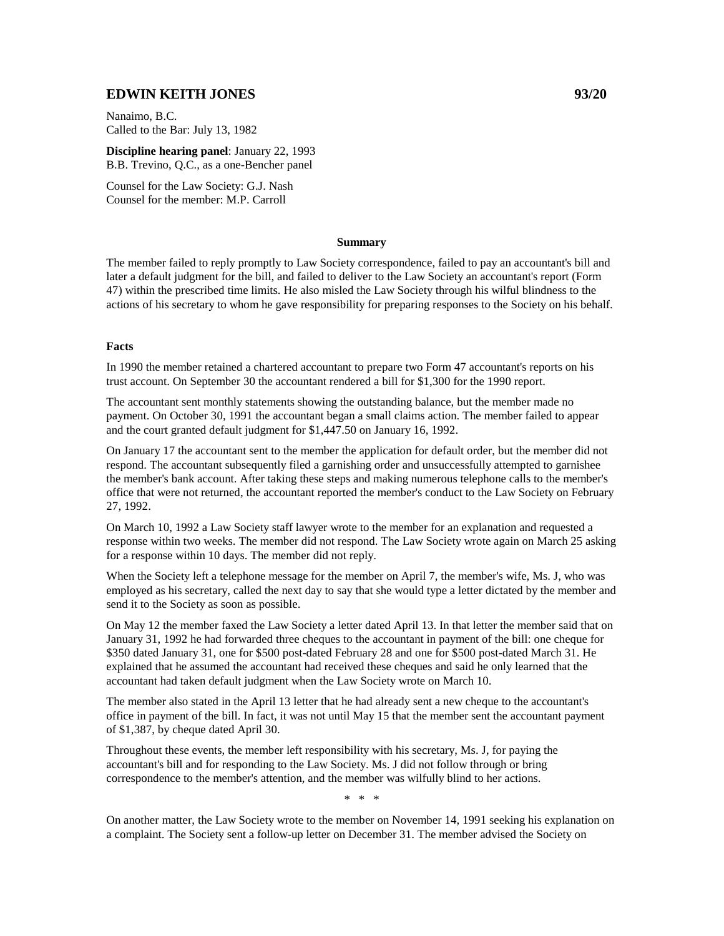# **EDWIN KEITH JONES 93/20**

Nanaimo, B.C. Called to the Bar: July 13, 1982

**Discipline hearing panel**: January 22, 1993 B.B. Trevino, Q.C., as a one-Bencher panel

Counsel for the Law Society: G.J. Nash Counsel for the member: M.P. Carroll

### **Summary**

The member failed to reply promptly to Law Society correspondence, failed to pay an accountant's bill and later a default judgment for the bill, and failed to deliver to the Law Society an accountant's report (Form 47) within the prescribed time limits. He also misled the Law Society through his wilful blindness to the actions of his secretary to whom he gave responsibility for preparing responses to the Society on his behalf.

#### **Facts**

In 1990 the member retained a chartered accountant to prepare two Form 47 accountant's reports on his trust account. On September 30 the accountant rendered a bill for \$1,300 for the 1990 report.

The accountant sent monthly statements showing the outstanding balance, but the member made no payment. On October 30, 1991 the accountant began a small claims action. The member failed to appear and the court granted default judgment for \$1,447.50 on January 16, 1992.

On January 17 the accountant sent to the member the application for default order, but the member did not respond. The accountant subsequently filed a garnishing order and unsuccessfully attempted to garnishee the member's bank account. After taking these steps and making numerous telephone calls to the member's office that were not returned, the accountant reported the member's conduct to the Law Society on February 27, 1992.

On March 10, 1992 a Law Society staff lawyer wrote to the member for an explanation and requested a response within two weeks. The member did not respond. The Law Society wrote again on March 25 asking for a response within 10 days. The member did not reply.

When the Society left a telephone message for the member on April 7, the member's wife, Ms. J, who was employed as his secretary, called the next day to say that she would type a letter dictated by the member and send it to the Society as soon as possible.

On May 12 the member faxed the Law Society a letter dated April 13. In that letter the member said that on January 31, 1992 he had forwarded three cheques to the accountant in payment of the bill: one cheque for \$350 dated January 31, one for \$500 post-dated February 28 and one for \$500 post-dated March 31. He explained that he assumed the accountant had received these cheques and said he only learned that the accountant had taken default judgment when the Law Society wrote on March 10.

The member also stated in the April 13 letter that he had already sent a new cheque to the accountant's office in payment of the bill. In fact, it was not until May 15 that the member sent the accountant payment of \$1,387, by cheque dated April 30.

Throughout these events, the member left responsibility with his secretary, Ms. J, for paying the accountant's bill and for responding to the Law Society. Ms. J did not follow through or bring correspondence to the member's attention, and the member was wilfully blind to her actions.

\* \* \*

On another matter, the Law Society wrote to the member on November 14, 1991 seeking his explanation on a complaint. The Society sent a follow-up letter on December 31. The member advised the Society on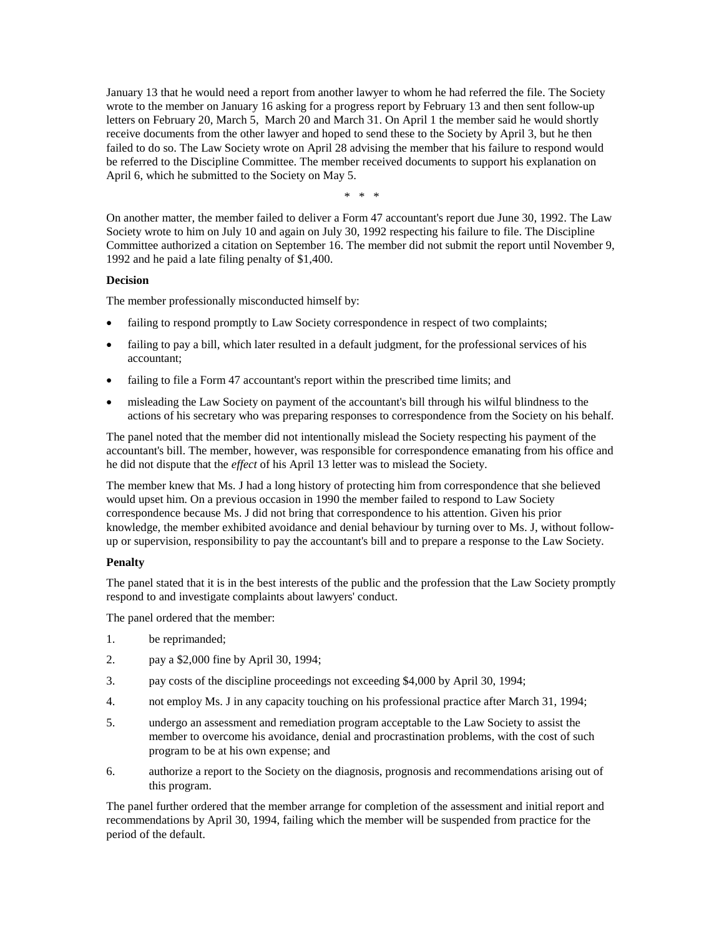January 13 that he would need a report from another lawyer to whom he had referred the file. The Society wrote to the member on January 16 asking for a progress report by February 13 and then sent follow-up letters on February 20, March 5, March 20 and March 31. On April 1 the member said he would shortly receive documents from the other lawyer and hoped to send these to the Society by April 3, but he then failed to do so. The Law Society wrote on April 28 advising the member that his failure to respond would be referred to the Discipline Committee. The member received documents to support his explanation on April 6, which he submitted to the Society on May 5.

\* \* \*

On another matter, the member failed to deliver a Form 47 accountant's report due June 30, 1992. The Law Society wrote to him on July 10 and again on July 30, 1992 respecting his failure to file. The Discipline Committee authorized a citation on September 16. The member did not submit the report until November 9, 1992 and he paid a late filing penalty of \$1,400.

### **Decision**

The member professionally misconducted himself by:

- failing to respond promptly to Law Society correspondence in respect of two complaints;
- failing to pay a bill, which later resulted in a default judgment, for the professional services of his accountant;
- failing to file a Form 47 accountant's report within the prescribed time limits; and
- misleading the Law Society on payment of the accountant's bill through his wilful blindness to the actions of his secretary who was preparing responses to correspondence from the Society on his behalf.

The panel noted that the member did not intentionally mislead the Society respecting his payment of the accountant's bill. The member, however, was responsible for correspondence emanating from his office and he did not dispute that the *effect* of his April 13 letter was to mislead the Society.

The member knew that Ms. J had a long history of protecting him from correspondence that she believed would upset him. On a previous occasion in 1990 the member failed to respond to Law Society correspondence because Ms. J did not bring that correspondence to his attention. Given his prior knowledge, the member exhibited avoidance and denial behaviour by turning over to Ms. J, without followup or supervision, responsibility to pay the accountant's bill and to prepare a response to the Law Society.

## **Penalty**

The panel stated that it is in the best interests of the public and the profession that the Law Society promptly respond to and investigate complaints about lawyers' conduct.

The panel ordered that the member:

- 1. be reprimanded;
- 2. pay a \$2,000 fine by April 30, 1994;
- 3. pay costs of the discipline proceedings not exceeding \$4,000 by April 30, 1994;
- 4. not employ Ms. J in any capacity touching on his professional practice after March 31, 1994;
- 5. undergo an assessment and remediation program acceptable to the Law Society to assist the member to overcome his avoidance, denial and procrastination problems, with the cost of such program to be at his own expense; and
- 6. authorize a report to the Society on the diagnosis, prognosis and recommendations arising out of this program.

The panel further ordered that the member arrange for completion of the assessment and initial report and recommendations by April 30, 1994, failing which the member will be suspended from practice for the period of the default.